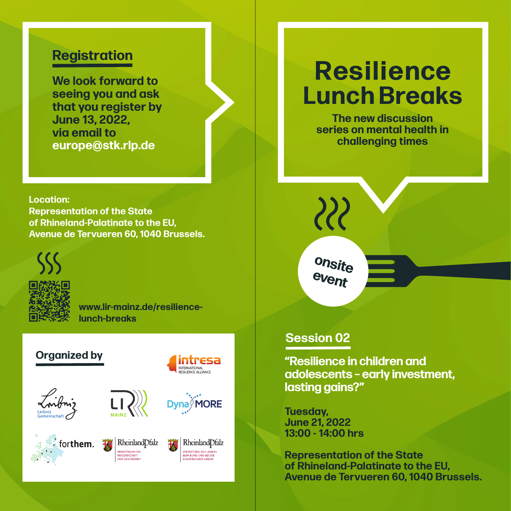## **Registration**

**We look forward to seeing you and ask that you register by June 13, 2022, via email to europe@stk.rlp.de**

**Location: Representation of the State of Rhineland-Palatinate to the EU, Avenue de Tervueren 60, 1040 Brussels.**



**www.lir-mainz.de/resiliencelunch-breaks**

## **Organized by**









**WISSENSCHAFT**<br>IND GESUNDHEIT

Rheinland Dfalz L<br>VERTRETUNG DES LANDES<br>BEIM BUND UND BEI DER<br>EUROPÄISCHEN UNION

intresa INTERNATIONAL<br>RESILIENCE ALLIANCE

**Dyna** MORE

# **Resilience Lunch Breaks**

**The new discussion series on mental health in challenging times**

**onsite event**

 $\mathcal{Z}$ 

## **Session 02**

**"Resilience in children and adolescents – early investment, lasting gains?"**

**Tuesday, June 21, 2022 13:00 - 14:00 hrs** 

**Representation of the State of Rhineland-Palatinate to the EU, Avenue de Tervueren 60, 1040 Brussels.**